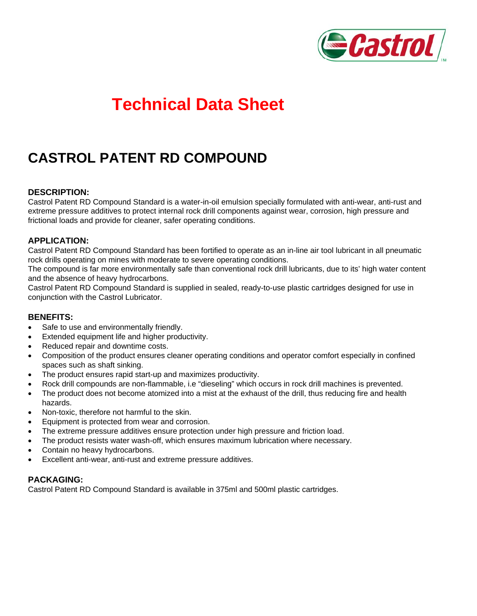

# **Technical Data Sheet**

# **CASTROL PATENT RD COMPOUND**

#### **DESCRIPTION:**

Castrol Patent RD Compound Standard is a water-in-oil emulsion specially formulated with anti-wear, anti-rust and extreme pressure additives to protect internal rock drill components against wear, corrosion, high pressure and frictional loads and provide for cleaner, safer operating conditions.

#### **APPLICATION:**

Castrol Patent RD Compound Standard has been fortified to operate as an in-line air tool lubricant in all pneumatic rock drills operating on mines with moderate to severe operating conditions.

The compound is far more environmentally safe than conventional rock drill lubricants, due to its' high water content and the absence of heavy hydrocarbons.

Castrol Patent RD Compound Standard is supplied in sealed, ready-to-use plastic cartridges designed for use in conjunction with the Castrol Lubricator.

#### **BENEFITS:**

- Safe to use and environmentally friendly.
- Extended equipment life and higher productivity.
- Reduced repair and downtime costs.
- Composition of the product ensures cleaner operating conditions and operator comfort especially in confined spaces such as shaft sinking.
- The product ensures rapid start-up and maximizes productivity.
- Rock drill compounds are non-flammable, i.e "dieseling" which occurs in rock drill machines is prevented.
- The product does not become atomized into a mist at the exhaust of the drill, thus reducing fire and health hazards.
- Non-toxic, therefore not harmful to the skin.
- Equipment is protected from wear and corrosion.
- The extreme pressure additives ensure protection under high pressure and friction load.
- The product resists water wash-off, which ensures maximum lubrication where necessary.
- Contain no heavy hydrocarbons.
- Excellent anti-wear, anti-rust and extreme pressure additives.

## **PACKAGING:**

Castrol Patent RD Compound Standard is available in 375ml and 500ml plastic cartridges.